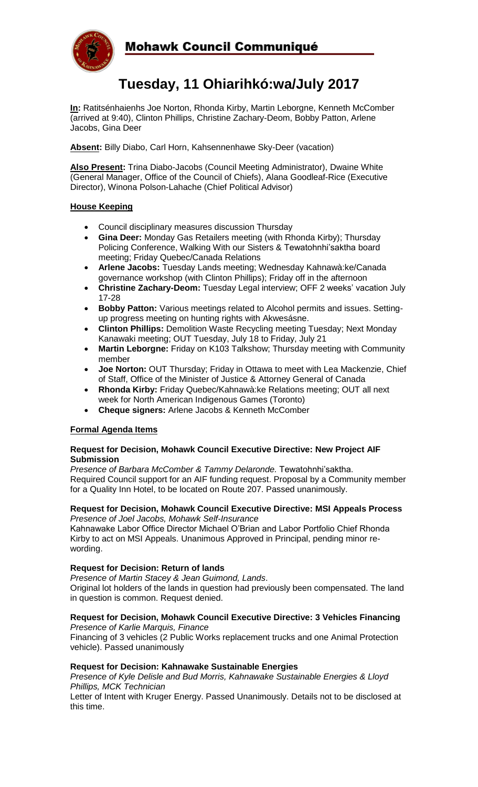

# **Tuesday, 11 Ohiarihkó:wa/July 2017**

**In:** Ratitsénhaienhs Joe Norton, Rhonda Kirby, Martin Leborgne, Kenneth McComber (arrived at 9:40), Clinton Phillips, Christine Zachary-Deom, Bobby Patton, Arlene Jacobs, Gina Deer

**Absent:** Billy Diabo, Carl Horn, Kahsennenhawe Sky-Deer (vacation)

**Also Present:** Trina Diabo-Jacobs (Council Meeting Administrator), Dwaine White (General Manager, Office of the Council of Chiefs), Alana Goodleaf-Rice (Executive Director), Winona Polson-Lahache (Chief Political Advisor)

### **House Keeping**

- Council disciplinary measures discussion Thursday
- **Gina Deer:** Monday Gas Retailers meeting (with Rhonda Kirby); Thursday Policing Conference, Walking With our Sisters & Tewatohnhi'saktha board meeting; Friday Quebec/Canada Relations
- **Arlene Jacobs:** Tuesday Lands meeting; Wednesday Kahnawà:ke/Canada governance workshop (with Clinton Phillips); Friday off in the afternoon
- **Christine Zachary-Deom:** Tuesday Legal interview; OFF 2 weeks' vacation July 17-28
- **Bobby Patton:** Various meetings related to Alcohol permits and issues. Settingup progress meeting on hunting rights with Akwesásne.
- **Clinton Phillips:** Demolition Waste Recycling meeting Tuesday; Next Monday Kanawaki meeting; OUT Tuesday, July 18 to Friday, July 21
- **Martin Leborgne:** Friday on K103 Talkshow; Thursday meeting with Community member
- **Joe Norton:** OUT Thursday; Friday in Ottawa to meet with Lea Mackenzie, Chief of Staff, Office of the Minister of Justice & Attorney General of Canada
- **Rhonda Kirby:** Friday Quebec/Kahnawà:ke Relations meeting; OUT all next week for North American Indigenous Games (Toronto)
- **Cheque signers:** Arlene Jacobs & Kenneth McComber

## **Formal Agenda Items**

#### **Request for Decision, Mohawk Council Executive Directive: New Project AIF Submission**

*Presence of Barbara McComber & Tammy Delaronde.* Tewatohnhi'saktha. Required Council support for an AIF funding request. Proposal by a Community member for a Quality Inn Hotel, to be located on Route 207. Passed unanimously.

#### **Request for Decision, Mohawk Council Executive Directive: MSI Appeals Process** *Presence of Joel Jacobs, Mohawk Self-Insurance*

Kahnawake Labor Office Director Michael O'Brian and Labor Portfolio Chief Rhonda Kirby to act on MSI Appeals. Unanimous Approved in Principal, pending minor rewording.

#### **Request for Decision: Return of lands**

*Presence of Martin Stacey & Jean Guimond, Lands*.

Original lot holders of the lands in question had previously been compensated. The land in question is common. Request denied.

#### **Request for Decision, Mohawk Council Executive Directive: 3 Vehicles Financing** *Presence of Karlie Marquis, Finance*

Financing of 3 vehicles (2 Public Works replacement trucks and one Animal Protection vehicle). Passed unanimously

#### **Request for Decision: Kahnawake Sustainable Energies**

*Presence of Kyle Delisle and Bud Morris, Kahnawake Sustainable Energies & Lloyd Phillips, MCK Technician*

Letter of Intent with Kruger Energy. Passed Unanimously. Details not to be disclosed at this time.